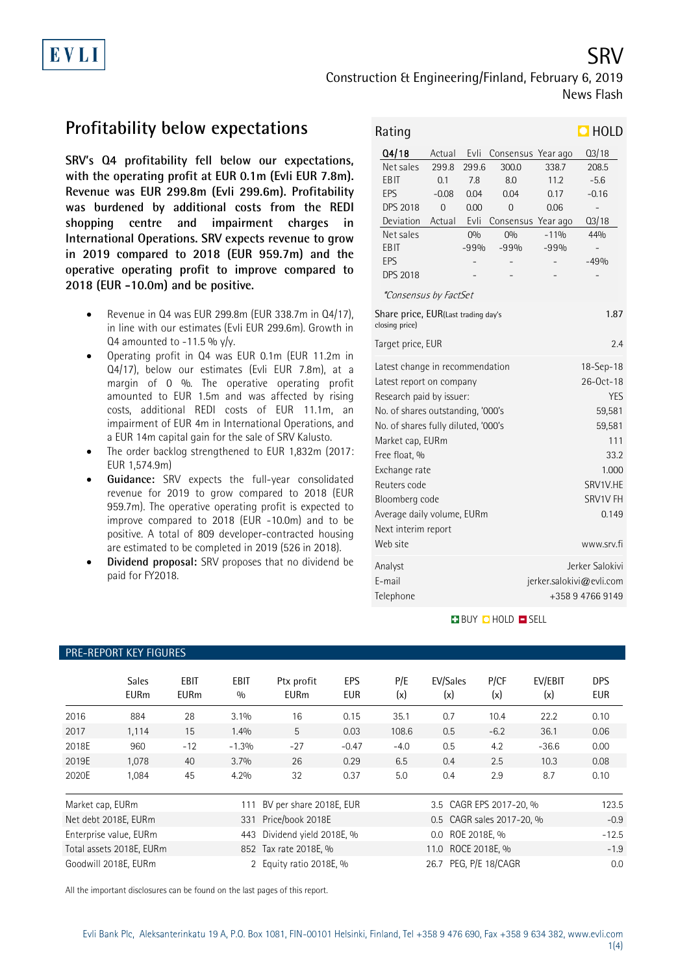# Construction & Engineering/Finland, February 6, 2019 News Flash

## **Profitability below expectations**

**SRV's Q4 profitability fell below our expectations, with the operating profit at EUR 0.1m (Evli EUR 7.8m). Revenue was EUR 299.8m (Evli 299.6m). Profitability was burdened by additional costs from the REDI shopping centre and impairment charges in International Operations. SRV expects revenue to grow in 2019 compared to 2018 (EUR 959.7m) and the operative operating profit to improve compared to 2018 (EUR -10.0m) and be positive.**

- Revenue in Q4 was EUR 299.8m (EUR 338.7m in Q4/17), in line with our estimates (Evli EUR 299.6m). Growth in Q4 amounted to  $-11.5$ % y/y.
- Operating profit in Q4 was EUR 0.1m (EUR 11.2m in Q4/17), below our estimates (Evli EUR 7.8m), at a margin of 0 %. The operative operating profit amounted to EUR 1.5m and was affected by rising costs, additional REDI costs of EUR 11.1m, an impairment of EUR 4m in International Operations, and a EUR 14m capital gain for the sale of SRV Kalusto.
- The order backlog strengthened to EUR 1,832m (2017: EUR 1,574.9m)
- **Guidance:** SRV expects the full-year consolidated revenue for 2019 to grow compared to 2018 (EUR 959.7m). The operative operating profit is expected to improve compared to 2018 (EUR -10.0m) and to be positive. A total of 809 developer-contracted housing are estimated to be completed in 2019 (526 in 2018).
- **Dividend proposal:** SRV proposes that no dividend be paid for FY2018.

| Rating                                                        |         |        |                    |          | $\blacksquare$ HOLD      |  |
|---------------------------------------------------------------|---------|--------|--------------------|----------|--------------------------|--|
| Q4/18                                                         | Actual  | Evli   | Consensus          | Year ago | Q3/18                    |  |
| Net sales                                                     | 299.8   | 299.6  | 300.0              | 338.7    | 208.5                    |  |
| <b>EBIT</b>                                                   | 0.1     | 7.8    | 8.0                | 11.2     | $-5.6$                   |  |
| <b>EPS</b>                                                    | $-0.08$ | 0.04   | 0.04               | 0.17     | $-0.16$                  |  |
| <b>DPS 2018</b>                                               | 0       | 0.00   | 0                  | 0.06     | $\overline{a}$           |  |
| Deviation                                                     | Actual  | Evli   | Consensus Year ago |          | Q3/18                    |  |
| Net sales                                                     |         | 0%     | 0%                 | $-11%$   | 44%                      |  |
| EBIT                                                          |         | $-99%$ | $-99%$             | $-99%$   |                          |  |
| EPS                                                           |         |        |                    |          | $-49%$                   |  |
| <b>DPS 2018</b>                                               |         |        |                    |          |                          |  |
| <i>*Consensus by FactSet</i>                                  |         |        |                    |          |                          |  |
| Share price, EUR(Last trading day's<br>1.87<br>closing price) |         |        |                    |          |                          |  |
| 2.4<br>Target price, EUR                                      |         |        |                    |          |                          |  |
| Latest change in recommendation                               |         |        | $18 - Sep - 18$    |          |                          |  |
| Latest report on company                                      |         |        | 26-Oct-18          |          |                          |  |
| Research paid by issuer:                                      |         |        | <b>YES</b>         |          |                          |  |
| No. of shares outstanding, '000's                             |         |        |                    | 59,581   |                          |  |
| No. of shares fully diluted, '000's                           |         |        |                    | 59,581   |                          |  |
| Market cap, EURm                                              |         |        |                    | 111      |                          |  |
| Free float, %                                                 |         |        |                    | 33.2     |                          |  |
| Exchange rate                                                 |         |        |                    | 1.000    |                          |  |
| Reuters code                                                  |         |        |                    | SRV1V.HE |                          |  |
| Bloomberg code                                                |         |        | SRV1V FH           |          |                          |  |
| Average daily volume, EURm                                    |         |        |                    | 0.149    |                          |  |
| Next interim report                                           |         |        |                    |          |                          |  |
| Web site                                                      |         |        |                    |          | www.srv.fi               |  |
| Analyst                                                       |         |        |                    |          | Jerker Salokivi          |  |
| E-mail                                                        |         |        |                    |          | jerker.salokivi@evli.com |  |
| Telephone                                                     |         |        |                    |          | +358947669149            |  |
|                                                               |         |        |                    |          |                          |  |

## **BUY CHOLD ESELL**

|                  | <b>Sales</b><br><b>EURm</b> | <b>EBIT</b><br><b>EURm</b> | <b>EBIT</b><br>0/0 | Ptx profit<br><b>EURm</b> | EPS<br><b>EUR</b> | P/E<br>(x) | EV/Sales<br>(x)           | P/CF<br>(x) | EV/EBIT<br>(x) | <b>DPS</b><br><b>EUR</b> |
|------------------|-----------------------------|----------------------------|--------------------|---------------------------|-------------------|------------|---------------------------|-------------|----------------|--------------------------|
| 2016             | 884                         | 28                         | 3.1%               | 16                        | 0.15              | 35.1       | 0.7                       | 10.4        | 22.2           | 0.10                     |
| 2017             | 1,114                       | 15                         | 1.4%               | 5                         | 0.03              | 108.6      | 0.5                       | $-6.2$      | 36.1           | 0.06                     |
| 2018E            | 960                         | $-12$                      | $-1.3%$            | $-27$                     | $-0.47$           | $-4.0$     | 0.5                       | 4.2         | $-36.6$        | 0.00                     |
| 2019E            | 1,078                       | 40                         | 3.7%               | 26                        | 0.29              | 6.5        | 0.4                       | 2.5         | 10.3           | 0.08                     |
| 2020E            | 1,084                       | 45                         | 4.2%               | 32                        | 0.37              | 5.0        | 0.4                       | 2.9         | 8.7            | 0.10                     |
| Market cap, EURm |                             |                            | 111                | BV per share 2018E, EUR   |                   |            | 3.5 CAGR EPS 2017-20, %   |             |                | 123.5                    |
|                  | Net debt 2018E, EURm        |                            | 331                | Price/book 2018E          |                   |            | 0.5 CAGR sales 2017-20, % |             |                | $-0.9$                   |
|                  | Enterprise value, EURm      |                            | 443                | Dividend yield 2018E, %   |                   |            | 0.0 ROE 2018E, %          |             |                | $-12.5$                  |
|                  | Total assets 2018E, EURm    |                            |                    | 852 Tax rate 2018E, %     |                   |            | 11.0 ROCE 2018E, %        |             |                | $-1.9$                   |
|                  | Goodwill 2018E. EURm        |                            |                    | Equity ratio 2018E, %     |                   |            | 26.7 PEG. P/E 18/CAGR     |             |                | 0.0                      |

All the important disclosures can be found on the last pages of this report.

# PRE-REPORT KEY FIGURES

SRV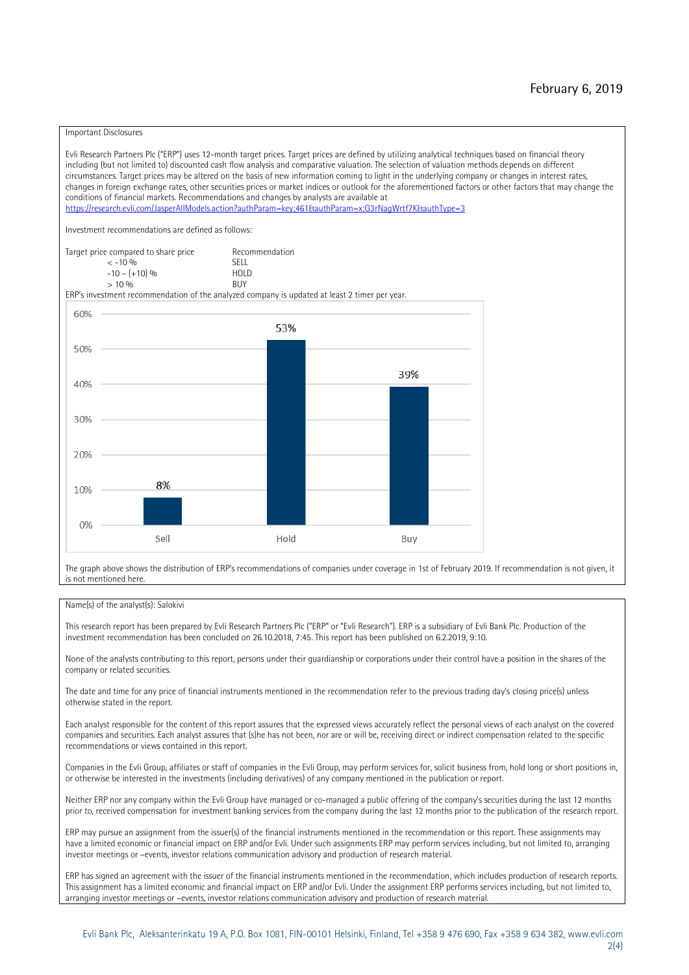### Important Disclosures

Evli Research Partners Plc ("ERP") uses 12-month target prices. Target prices are defined by utilizing analytical techniques based on financial theory including (but not limited to) discounted cash flow analysis and comparative valuation. The selection of valuation methods depends on different circumstances. Target prices may be altered on the basis of new information coming to light in the underlying company or changes in interest rates, changes in foreign exchange rates, other securities prices or market indices or outlook for the aforementioned factors or other factors that may change the conditions of financial markets. Recommendations and changes by analysts are available at https://research.evli.com/JasperAllModels.action?authParam=key;461&authParam=x;G3rNagWrtf7K&tauthType=3 Investment recommendations are defined as follows: Target price compared to share price Recommendation<br>  $\leq$  -10 % < -10 % SELL  $-10 - (+10) \%$  HOL<br>  $> 10 \%$  RIJY  $> 10 \frac{0}{0}$ ERP's investment recommendation of the analyzed company is updated at least 2 timer per year. 60% 53% 50% 39% 40% 30% 20% 8% 10% 0% Sell Hold Buy

The graph above shows the distribution of ERP's recommendations of companies under coverage in 1st of February 2019. If recommendation is not given, it is not mentioned here.

### Name(s) of the analyst(s): Salokivi

This research report has been prepared by Evli Research Partners Plc ("ERP" or "Evli Research"). ERP is a subsidiary of Evli Bank Plc. Production of the investment recommendation has been concluded on 26.10.2018, 7:45. This report has been published on 6.2.2019, 9:10.

None of the analysts contributing to this report, persons under their guardianship or corporations under their control have a position in the shares of the company or related securities.

The date and time for any price of financial instruments mentioned in the recommendation refer to the previous trading day's closing price(s) unless otherwise stated in the report.

Each analyst responsible for the content of this report assures that the expressed views accurately reflect the personal views of each analyst on the covered companies and securities. Each analyst assures that (s)he has not been, nor are or will be, receiving direct or indirect compensation related to the specific recommendations or views contained in this report.

Companies in the Evli Group, affiliates or staff of companies in the Evli Group, may perform services for, solicit business from, hold long or short positions in, or otherwise be interested in the investments (including derivatives) of any company mentioned in the publication or report.

Neither ERP nor any company within the Evli Group have managed or co-managed a public offering of the company's securities during the last 12 months prior to, received compensation for investment banking services from the company during the last 12 months prior to the publication of the research report.

ERP may pursue an assignment from the issuer(s) of the financial instruments mentioned in the recommendation or this report. These assignments may have a limited economic or financial impact on ERP and/or Evli. Under such assignments ERP may perform services including, but not limited to, arranging investor meetings or –events, investor relations communication advisory and production of research material.

ERP has signed an agreement with the issuer of the financial instruments mentioned in the recommendation, which includes production of research reports. This assignment has a limited economic and financial impact on ERP and/or Evli. Under the assignment ERP performs services including, but not limited to, arranging investor meetings or –events, investor relations communication advisory and production of research material.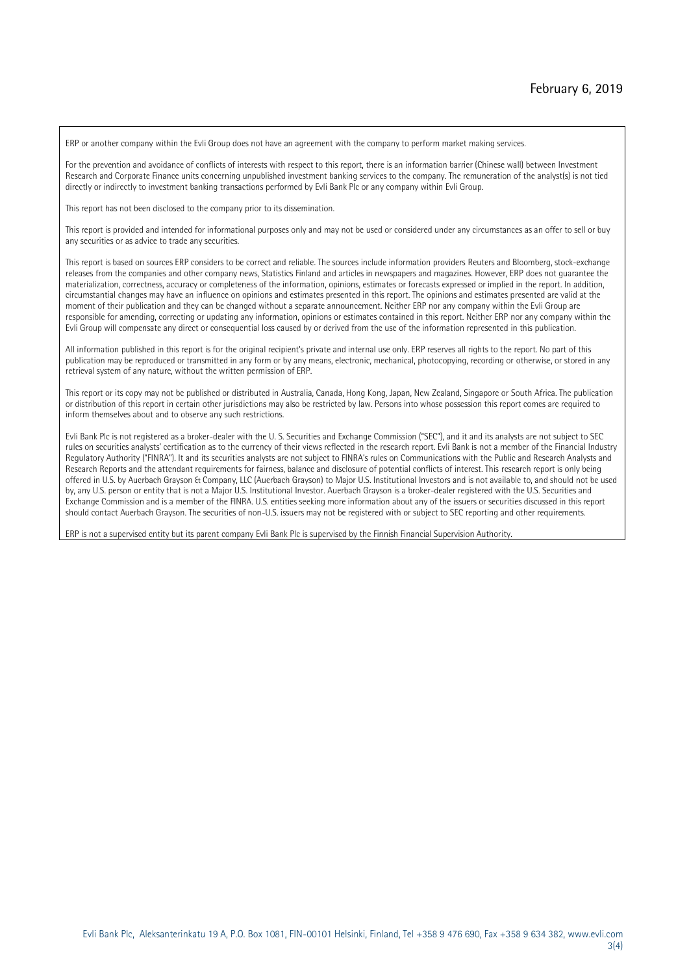ERP or another company within the Evli Group does not have an agreement with the company to perform market making services.

For the prevention and avoidance of conflicts of interests with respect to this report, there is an information barrier (Chinese wall) between Investment Research and Corporate Finance units concerning unpublished investment banking services to the company. The remuneration of the analyst(s) is not tied directly or indirectly to investment banking transactions performed by Evli Bank Plc or any company within Evli Group.

This report has not been disclosed to the company prior to its dissemination.

This report is provided and intended for informational purposes only and may not be used or considered under any circumstances as an offer to sell or buy any securities or as advice to trade any securities.

This report is based on sources ERP considers to be correct and reliable. The sources include information providers Reuters and Bloomberg, stock-exchange releases from the companies and other company news, Statistics Finland and articles in newspapers and magazines. However, ERP does not guarantee the materialization, correctness, accuracy or completeness of the information, opinions, estimates or forecasts expressed or implied in the report. In addition, circumstantial changes may have an influence on opinions and estimates presented in this report. The opinions and estimates presented are valid at the moment of their publication and they can be changed without a separate announcement. Neither ERP nor any company within the Evli Group are responsible for amending, correcting or updating any information, opinions or estimates contained in this report. Neither ERP nor any company within the Evli Group will compensate any direct or consequential loss caused by or derived from the use of the information represented in this publication.

All information published in this report is for the original recipient's private and internal use only. ERP reserves all rights to the report. No part of this publication may be reproduced or transmitted in any form or by any means, electronic, mechanical, photocopying, recording or otherwise, or stored in any retrieval system of any nature, without the written permission of ERP.

This report or its copy may not be published or distributed in Australia, Canada, Hong Kong, Japan, New Zealand, Singapore or South Africa. The publication or distribution of this report in certain other jurisdictions may also be restricted by law. Persons into whose possession this report comes are required to inform themselves about and to observe any such restrictions.

Evli Bank Plc is not registered as a broker-dealer with the U. S. Securities and Exchange Commission ("SEC"), and it and its analysts are not subject to SEC rules on securities analysts' certification as to the currency of their views reflected in the research report. Evli Bank is not a member of the Financial Industry Regulatory Authority ("FINRA"). It and its securities analysts are not subject to FINRA's rules on Communications with the Public and Research Analysts and Research Reports and the attendant requirements for fairness, balance and disclosure of potential conflicts of interest. This research report is only being offered in U.S. by Auerbach Grayson & Company, LLC (Auerbach Grayson) to Major U.S. Institutional Investors and is not available to, and should not be used by, any U.S. person or entity that is not a Major U.S. Institutional Investor. Auerbach Grayson is a broker-dealer registered with the U.S. Securities and Exchange Commission and is a member of the FINRA. U.S. entities seeking more information about any of the issuers or securities discussed in this report should contact Auerbach Grayson. The securities of non-U.S. issuers may not be registered with or subject to SEC reporting and other requirements.

ERP is not a supervised entity but its parent company Evli Bank Plc is supervised by the Finnish Financial Supervision Authority.